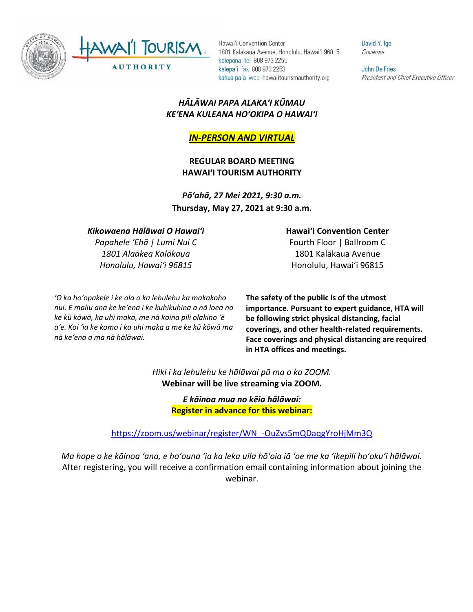

David Y. Ige Governor

John De Fries President and Chief Executive Officer

## *HĀLĀWAI PAPA ALAKAʻI KŪMAU KEʻENA KULEANA HOʻOKIPA O HAWAIʻI*

## *IN-PERSON AND VIRTUAL*

**REGULAR BOARD MEETING HAWAI'I TOURISM AUTHORITY**

*Pōʻahā, 27 Mei 2021, 9:30 a.m.* **Thursday, May 27, 2021 at 9:30 a.m.**

## *Kikowaena Hālāwai O Hawaiʻi*

*Papahele ʻEhā | Lumi Nui C 1801 Alaākea Kalākaua Honolulu, Hawaiʻi 96815*

*ʻO ka hoʻopakele i ke ola o ka lehulehu ka makakoho nui. E maliu ana ke keʻena i ke kuhikuhina a nā loea no ke kū kōwā, ka uhi maka, me nā koina pili olakino ʻē aʻe. Koi ʻia ke komo i ka uhi maka a me ke kū kōwā ma nā keʻena a ma nā hālāwai.*

**Hawaiʻi Convention Center**

Fourth Floor | Ballroom C 1801 Kalākaua Avenue Honolulu, Hawaiʻi 96815

**The safety of the public is of the utmost importance. Pursuant to expert guidance, HTA will be following strict physical distancing, facial coverings, and other health-related requirements. Face coverings and physical distancing are required in HTA offices and meetings.** 

*Hiki i ka lehulehu ke hālāwai pū ma o ka ZOOM.* **Webinar will be live streaming via ZOOM.**

> *E kāinoa mua no kēia hālāwai:* **Register in advance for this webinar:**

[https://zoom.us/webinar/register/WN\\_-OuZvs5mQDaqgYroHjMm3Q](https://zoom.us/webinar/register/WN_-OuZvs5mQDaqgYroHjMm3Q)

*Ma hope o ke kāinoa ʻana, e hoʻouna ʻia ka leka uila hōʻoia iā ʻoe me ka ʻikepili hoʻokuʻi hālāwai.* After registering, you will receive a confirmation email containing information about joining the webinar.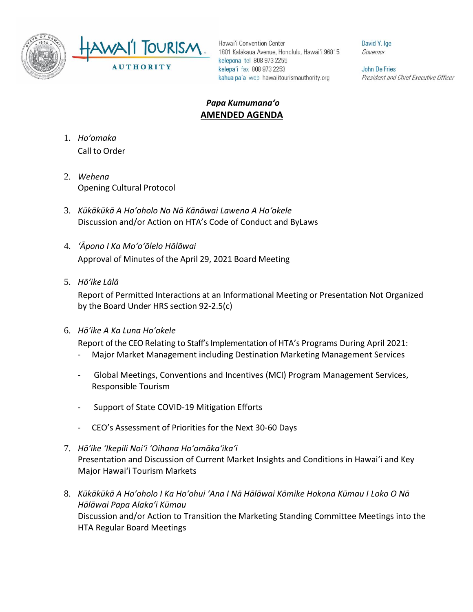

David Y. Ige Governor

John De Fries President and Chief Executive Officer

## *Papa Kumumanaʻo* **AMENDED AGENDA**

- 1. *Ho'omaka* Call to Order
- 2. *Wehena* Opening Cultural Protocol
- 3. *Kūkākūkā A Hoʻoholo No Nā Kānāwai Lawena A Hoʻokele* Discussion and/or Action on HTA's Code of Conduct and ByLaws
- 4. *ʻĀpono I Ka Moʻoʻōlelo Hālāwai* Approval of Minutes of the April 29, 2021 Board Meeting
- 5. *Hō'ike Lālā*

Report of Permitted Interactions at an Informational Meeting or Presentation Not Organized by the Board Under HRS section 92-2.5(c)

6. *Hōʻike A Ka Luna Hoʻokele*

Report of the CEO Relating to Staff's Implementation of HTA's Programs During April 2021:

- Major Market Management including Destination Marketing Management Services
- Global Meetings, Conventions and Incentives (MCI) Program Management Services, Responsible Tourism
- Support of State COVID-19 Mitigation Efforts
- CEO's Assessment of Priorities for the Next 30-60 Days
- 7. *Hōʻike ʻIkepili Noiʻi ʻOihana Hoʻomākaʻikaʻi* Presentation and Discussion of Current Market Insights and Conditions in Hawai'i and Key Major Hawai'i Tourism Markets
- 8. *Kūkākūkā A Hoʻoholo I Ka Hoʻohui ʻAna I Nā Hālāwai Kōmike Hokona Kūmau I Loko O Nā Hālāwai Papa Alakaʻi Kūmau* Discussion and/or Action to Transition the Marketing Standing Committee Meetings into the HTA Regular Board Meetings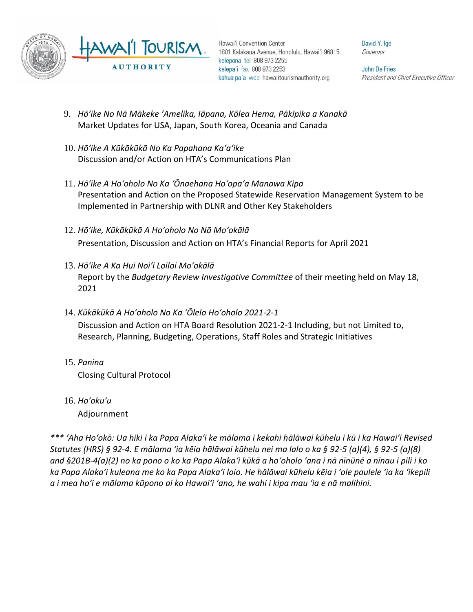

David Y. Ige Governor

**John De Fries** President and Chief Executive Officer

- 9. *Hōʻike No Nā Mākeke ʻAmelika, Iāpana, Kōlea Hema, Pākīpika a Kanakā* Market Updates for USA, Japan, South Korea, Oceania and Canada
- 10. *Hōʻike A Kūkākūkā No Ka Papahana Kaʻaʻike* Discussion and/or Action on HTA's Communications Plan
- 11. *Hōʻike A Hoʻoholo No Ka ʻŌnaehana Hoʻopaʻa Manawa Kipa* Presentation and Action on the Proposed Statewide Reservation Management System to be Implemented in Partnership with DLNR and Other Key Stakeholders
- 12. *Hōʻike, Kūkākūkā A Hoʻoholo No Nā Moʻokālā*  Presentation, Discussion and Action on HTA's Financial Reports for April 2021
- 13. *Hōʻike A Ka Hui Noiʻi Loiloi Moʻokālā*  Report by the *Budgetary Review Investigative Committee* of their meeting held on May 18, 2021
- 14. *Kūkākūkā A Hoʻoholo No Ka ʻŌlelo Hoʻoholo 2021-2-1* Discussion and Action on HTA Board Resolution 2021-2-1 Including, but not Limited to,
	- Research, Planning, Budgeting, Operations, Staff Roles and Strategic Initiatives
- 15. *Panina* Closing Cultural Protocol
- 16. *Ho'oku'u* Adjournment

*\*\*\* ʻAha Hoʻokō: Ua hiki i ka Papa Alakaʻi ke mālama i kekahi hālāwai kūhelu i kū i ka Hawaiʻi Revised Statutes (HRS) § 92-4. E mālama ʻia kēia hālāwai kūhelu nei ma lalo o ka § 92-5 (a)(4), § 92-5 (a)(8) and §201B-4(a)(2) no ka pono o ko ka Papa Alakaʻi kūkā a hoʻoholo ʻana i nā nīnūnē a nīnau i pili i ko ka Papa Alakaʻi kuleana me ko ka Papa Alakaʻi loio. He hālāwai kūhelu kēia i ʻole paulele ʻia ka ʻikepili a i mea hoʻi e mālama kūpono ai ko Hawaiʻi ʻano, he wahi i kipa mau ʻia e nā malihini.*